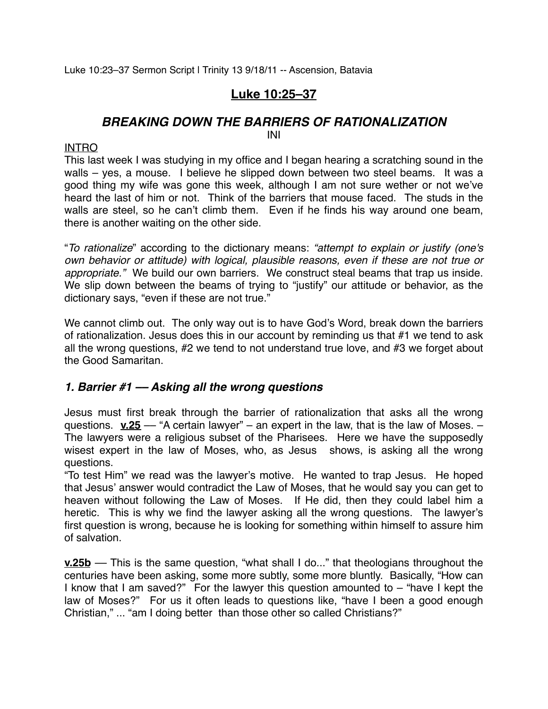Luke 10:23–37 Sermon Script | Trinity 13 9/18/11 -- Ascension, Batavia

## **Luke 10:25–37**

# *BREAKING DOWN THE BARRIERS OF RATIONALIZATION*

#### INI

### INTRO

This last week I was studying in my office and I began hearing a scratching sound in the walls – yes, a mouse. I believe he slipped down between two steel beams. It was a good thing my wife was gone this week, although I am not sure wether or not we've heard the last of him or not. Think of the barriers that mouse faced. The studs in the walls are steel, so he can't climb them. Even if he finds his way around one beam, there is another waiting on the other side.

"*To rationalize*" according to the dictionary means: *"attempt to explain or justify (one's own behavior or attitude) with logical, plausible reasons, even if these are not true or appropriate."* We build our own barriers. We construct steal beams that trap us inside. We slip down between the beams of trying to "justify" our attitude or behavior, as the dictionary says, "even if these are not true."

We cannot climb out. The only way out is to have God's Word, break down the barriers of rationalization. Jesus does this in our account by reminding us that #1 we tend to ask all the wrong questions, #2 we tend to not understand true love, and #3 we forget about the Good Samaritan.

## *1. Barrier #1 –– Asking all the wrong questions*

Jesus must first break through the barrier of rationalization that asks all the wrong questions. **v.25** –– "A certain lawyer" – an expert in the law, that is the law of Moses. – The lawyers were a religious subset of the Pharisees. Here we have the supposedly wisest expert in the law of Moses, who, as Jesus shows, is asking all the wrong questions.

"To test Him" we read was the lawyer's motive. He wanted to trap Jesus. He hoped that Jesus' answer would contradict the Law of Moses, that he would say you can get to heaven without following the Law of Moses. If He did, then they could label him a heretic. This is why we find the lawyer asking all the wrong questions. The lawyer's first question is wrong, because he is looking for something within himself to assure him of salvation.

**<u>v.25b</u>** — This is the same question, "what shall I do..." that theologians throughout the centuries have been asking, some more subtly, some more bluntly. Basically, "How can I know that I am saved?" For the lawyer this question amounted to – "have I kept the law of Moses?" For us it often leads to questions like, "have I been a good enough Christian," ... "am I doing better than those other so called Christians?"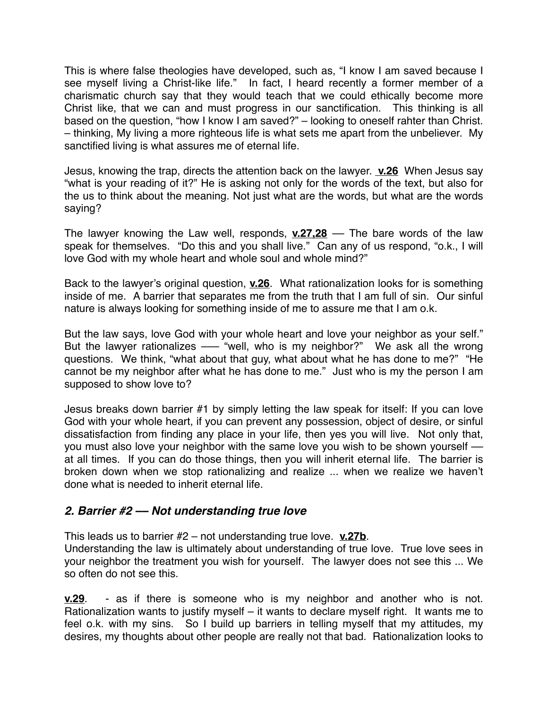This is where false theologies have developed, such as, "I know I am saved because I see myself living a Christ-like life." In fact, I heard recently a former member of a charismatic church say that they would teach that we could ethically become more Christ like, that we can and must progress in our sanctification. This thinking is all based on the question, "how I know I am saved?" – looking to oneself rahter than Christ. – thinking, My living a more righteous life is what sets me apart from the unbeliever. My sanctified living is what assures me of eternal life.

Jesus, knowing the trap, directs the attention back on the lawyer. **v.26** When Jesus say "what is your reading of it?" He is asking not only for the words of the text, but also for the us to think about the meaning. Not just what are the words, but what are the words saying?

The lawyer knowing the Law well, responds, **v.27,28** –– The bare words of the law speak for themselves. "Do this and you shall live." Can any of us respond, "o.k., I will love God with my whole heart and whole soul and whole mind?"

Back to the lawyer's original question, **v.26**. What rationalization looks for is something inside of me. A barrier that separates me from the truth that I am full of sin. Our sinful nature is always looking for something inside of me to assure me that I am o.k.

But the law says, love God with your whole heart and love your neighbor as your self." But the lawyer rationalizes — "well, who is my neighbor?" We ask all the wrong questions. We think, "what about that guy, what about what he has done to me?" "He cannot be my neighbor after what he has done to me." Just who is my the person I am supposed to show love to?

Jesus breaks down barrier #1 by simply letting the law speak for itself: If you can love God with your whole heart, if you can prevent any possession, object of desire, or sinful dissatisfaction from finding any place in your life, then yes you will live. Not only that, you must also love your neighbor with the same love you wish to be shown yourself – at all times. If you can do those things, then you will inherit eternal life. The barrier is broken down when we stop rationalizing and realize ... when we realize we haven't done what is needed to inherit eternal life.

## *2. Barrier #2 –– Not understanding true love*

This leads us to barrier #2 – not understanding true love. **v.27b**. Understanding the law is ultimately about understanding of true love. True love sees in your neighbor the treatment you wish for yourself. The lawyer does not see this ... We so often do not see this.

**v.29**. - as if there is someone who is my neighbor and another who is not. Rationalization wants to justify myself – it wants to declare myself right. It wants me to feel o.k. with my sins. So I build up barriers in telling myself that my attitudes, my desires, my thoughts about other people are really not that bad. Rationalization looks to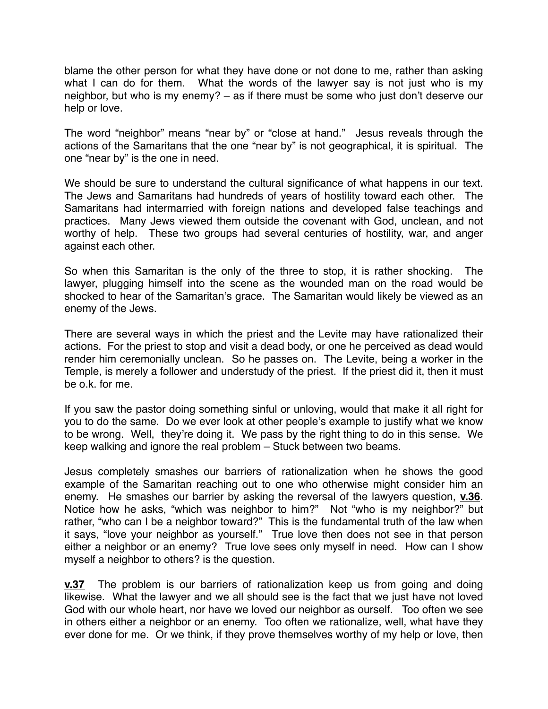blame the other person for what they have done or not done to me, rather than asking what I can do for them. What the words of the lawyer say is not just who is my neighbor, but who is my enemy? – as if there must be some who just don't deserve our help or love.

The word "neighbor" means "near by" or "close at hand." Jesus reveals through the actions of the Samaritans that the one "near by" is not geographical, it is spiritual. The one "near by" is the one in need.

We should be sure to understand the cultural significance of what happens in our text. The Jews and Samaritans had hundreds of years of hostility toward each other. The Samaritans had intermarried with foreign nations and developed false teachings and practices. Many Jews viewed them outside the covenant with God, unclean, and not worthy of help. These two groups had several centuries of hostility, war, and anger against each other.

So when this Samaritan is the only of the three to stop, it is rather shocking. The lawyer, plugging himself into the scene as the wounded man on the road would be shocked to hear of the Samaritan's grace. The Samaritan would likely be viewed as an enemy of the Jews.

There are several ways in which the priest and the Levite may have rationalized their actions. For the priest to stop and visit a dead body, or one he perceived as dead would render him ceremonially unclean. So he passes on. The Levite, being a worker in the Temple, is merely a follower and understudy of the priest. If the priest did it, then it must be o.k. for me.

If you saw the pastor doing something sinful or unloving, would that make it all right for you to do the same. Do we ever look at other people's example to justify what we know to be wrong. Well, they're doing it. We pass by the right thing to do in this sense. We keep walking and ignore the real problem – Stuck between two beams.

Jesus completely smashes our barriers of rationalization when he shows the good example of the Samaritan reaching out to one who otherwise might consider him an enemy. He smashes our barrier by asking the reversal of the lawyers question, **v.36**. Notice how he asks, "which was neighbor to him?" Not "who is my neighbor?" but rather, "who can I be a neighbor toward?" This is the fundamental truth of the law when it says, "love your neighbor as yourself." True love then does not see in that person either a neighbor or an enemy? True love sees only myself in need. How can I show myself a neighbor to others? is the question.

**v.37** The problem is our barriers of rationalization keep us from going and doing likewise. What the lawyer and we all should see is the fact that we just have not loved God with our whole heart, nor have we loved our neighbor as ourself. Too often we see in others either a neighbor or an enemy. Too often we rationalize, well, what have they ever done for me. Or we think, if they prove themselves worthy of my help or love, then